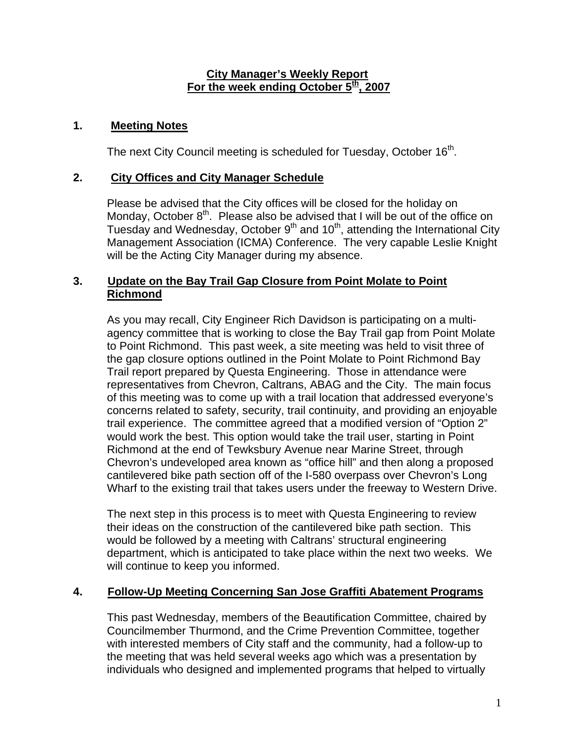### **City Manager's Weekly Report** For the week ending October  $5^{\underline{th}}$ , 2007

# **1. Meeting Notes**

The next City Council meeting is scheduled for Tuesday, October 16<sup>th</sup>.

## **2. City Offices and City Manager Schedule**

Please be advised that the City offices will be closed for the holiday on Monday, October  $8<sup>th</sup>$ . Please also be advised that I will be out of the office on Tuesday and Wednesday, October  $9<sup>th</sup>$  and  $10<sup>th</sup>$ , attending the International City Management Association (ICMA) Conference. The very capable Leslie Knight will be the Acting City Manager during my absence.

## **3. Update on the Bay Trail Gap Closure from Point Molate to Point Richmond**

As you may recall, City Engineer Rich Davidson is participating on a multiagency committee that is working to close the Bay Trail gap from Point Molate to Point Richmond. This past week, a site meeting was held to visit three of the gap closure options outlined in the Point Molate to Point Richmond Bay Trail report prepared by Questa Engineering. Those in attendance were representatives from Chevron, Caltrans, ABAG and the City. The main focus of this meeting was to come up with a trail location that addressed everyone's concerns related to safety, security, trail continuity, and providing an enjoyable trail experience. The committee agreed that a modified version of "Option 2" would work the best. This option would take the trail user, starting in Point Richmond at the end of Tewksbury Avenue near Marine Street, through Chevron's undeveloped area known as "office hill" and then along a proposed cantilevered bike path section off of the I-580 overpass over Chevron's Long Wharf to the existing trail that takes users under the freeway to Western Drive.

The next step in this process is to meet with Questa Engineering to review their ideas on the construction of the cantilevered bike path section. This would be followed by a meeting with Caltrans' structural engineering department, which is anticipated to take place within the next two weeks. We will continue to keep you informed.

#### **4. Follow-Up Meeting Concerning San Jose Graffiti Abatement Programs**

This past Wednesday, members of the Beautification Committee, chaired by Councilmember Thurmond, and the Crime Prevention Committee, together with interested members of City staff and the community, had a follow-up to the meeting that was held several weeks ago which was a presentation by individuals who designed and implemented programs that helped to virtually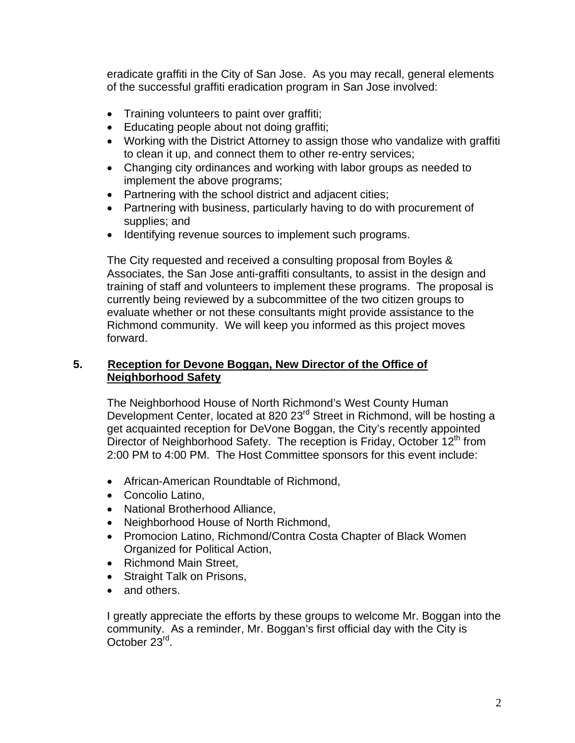eradicate graffiti in the City of San Jose. As you may recall, general elements of the successful graffiti eradication program in San Jose involved:

- Training volunteers to paint over graffiti;
- Educating people about not doing graffiti;
- Working with the District Attorney to assign those who vandalize with graffiti to clean it up, and connect them to other re-entry services;
- Changing city ordinances and working with labor groups as needed to implement the above programs;
- Partnering with the school district and adjacent cities;
- Partnering with business, particularly having to do with procurement of supplies; and
- Identifying revenue sources to implement such programs.

The City requested and received a consulting proposal from Boyles & Associates, the San Jose anti-graffiti consultants, to assist in the design and training of staff and volunteers to implement these programs. The proposal is currently being reviewed by a subcommittee of the two citizen groups to evaluate whether or not these consultants might provide assistance to the Richmond community. We will keep you informed as this project moves forward.

## **5. Reception for Devone Boggan, New Director of the Office of Neighborhood Safety**

The Neighborhood House of North Richmond's West County Human Development Center, located at 820 23<sup>rd</sup> Street in Richmond, will be hosting a get acquainted reception for DeVone Boggan, the City's recently appointed Director of Neighborhood Safety. The reception is Friday, October  $12<sup>th</sup>$  from 2:00 PM to 4:00 PM. The Host Committee sponsors for this event include:

- African-American Roundtable of Richmond,
- Concolio Latino,
- National Brotherhood Alliance,
- Neighborhood House of North Richmond,
- Promocion Latino, Richmond/Contra Costa Chapter of Black Women Organized for Political Action,
- Richmond Main Street,
- Straight Talk on Prisons,
- and others.

I greatly appreciate the efforts by these groups to welcome Mr. Boggan into the community. As a reminder, Mr. Boggan's first official day with the City is October 23rd.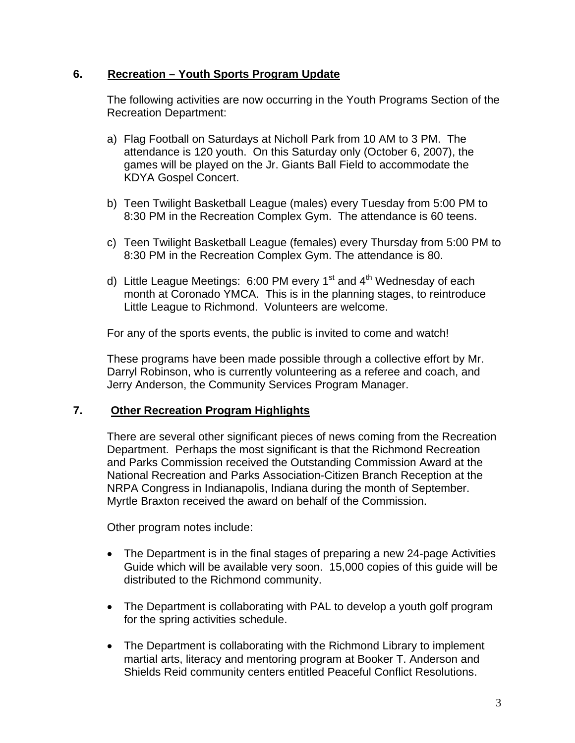# **6. Recreation – Youth Sports Program Update**

The following activities are now occurring in the Youth Programs Section of the Recreation Department:

- a) Flag Football on Saturdays at Nicholl Park from 10 AM to 3 PM. The attendance is 120 youth. On this Saturday only (October 6, 2007), the games will be played on the Jr. Giants Ball Field to accommodate the KDYA Gospel Concert.
- b) Teen Twilight Basketball League (males) every Tuesday from 5:00 PM to 8:30 PM in the Recreation Complex Gym. The attendance is 60 teens.
- c) Teen Twilight Basketball League (females) every Thursday from 5:00 PM to 8:30 PM in the Recreation Complex Gym. The attendance is 80.
- d) Little League Meetings: 6:00 PM every  $1<sup>st</sup>$  and  $4<sup>th</sup>$  Wednesday of each month at Coronado YMCA. This is in the planning stages, to reintroduce Little League to Richmond. Volunteers are welcome.

For any of the sports events, the public is invited to come and watch!

These programs have been made possible through a collective effort by Mr. Darryl Robinson, who is currently volunteering as a referee and coach, and Jerry Anderson, the Community Services Program Manager.

#### **7. Other Recreation Program Highlights**

There are several other significant pieces of news coming from the Recreation Department. Perhaps the most significant is that the Richmond Recreation and Parks Commission received the Outstanding Commission Award at the National Recreation and Parks Association-Citizen Branch Reception at the NRPA Congress in Indianapolis, Indiana during the month of September. Myrtle Braxton received the award on behalf of the Commission.

Other program notes include:

- The Department is in the final stages of preparing a new 24-page Activities Guide which will be available very soon. 15,000 copies of this guide will be distributed to the Richmond community.
- The Department is collaborating with PAL to develop a youth golf program for the spring activities schedule.
- The Department is collaborating with the Richmond Library to implement martial arts, literacy and mentoring program at Booker T. Anderson and Shields Reid community centers entitled Peaceful Conflict Resolutions.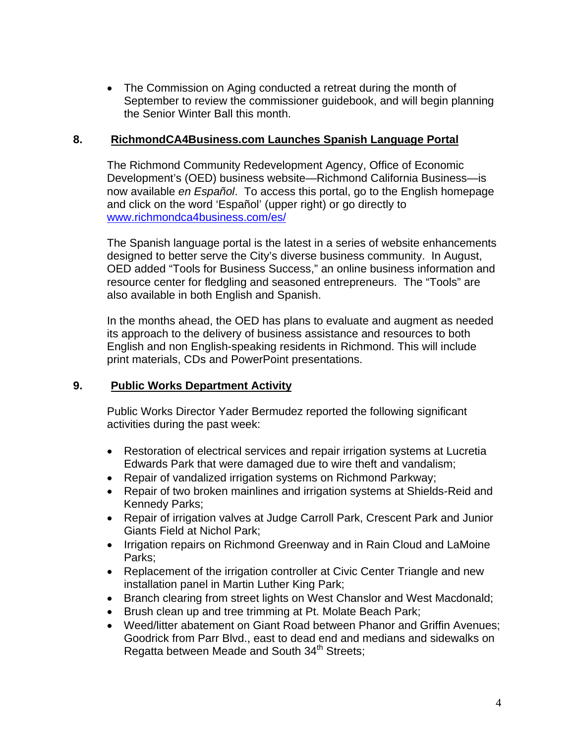• The Commission on Aging conducted a retreat during the month of September to review the commissioner guidebook, and will begin planning the Senior Winter Ball this month.

## **8. RichmondCA4Business.com Launches Spanish Language Portal**

The Richmond Community Redevelopment Agency, Office of Economic Development's (OED) business website—Richmond California Business—is now available *en Español*. To access this portal, go to the English homepage and click on the word 'Español' (upper right) or go directly to [www.richmondca4business.com/es/](http://www.richmondca4business.com/es/)

The Spanish language portal is the latest in a series of website enhancements designed to better serve the City's diverse business community. In August, OED added "Tools for Business Success," an online business information and resource center for fledgling and seasoned entrepreneurs. The "Tools" are also available in both English and Spanish.

In the months ahead, the OED has plans to evaluate and augment as needed its approach to the delivery of business assistance and resources to both English and non English-speaking residents in Richmond. This will include print materials, CDs and PowerPoint presentations.

# **9. Public Works Department Activity**

Public Works Director Yader Bermudez reported the following significant activities during the past week:

- Restoration of electrical services and repair irrigation systems at Lucretia Edwards Park that were damaged due to wire theft and vandalism;
- Repair of vandalized irrigation systems on Richmond Parkway;
- Repair of two broken mainlines and irrigation systems at Shields-Reid and Kennedy Parks;
- Repair of irrigation valves at Judge Carroll Park, Crescent Park and Junior Giants Field at Nichol Park;
- Irrigation repairs on Richmond Greenway and in Rain Cloud and LaMoine Parks;
- Replacement of the irrigation controller at Civic Center Triangle and new installation panel in Martin Luther King Park;
- Branch clearing from street lights on West Chanslor and West Macdonald;
- Brush clean up and tree trimming at Pt. Molate Beach Park;
- Weed/litter abatement on Giant Road between Phanor and Griffin Avenues; Goodrick from Parr Blvd., east to dead end and medians and sidewalks on Regatta between Meade and South  $34<sup>th</sup>$  Streets;